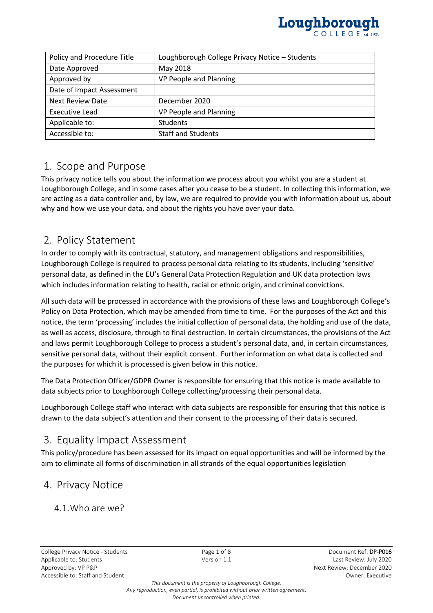

| Policy and Procedure Title | Loughborough College Privacy Notice - Students |
|----------------------------|------------------------------------------------|
| Date Approved              | May 2018                                       |
| Approved by                | VP People and Planning                         |
| Date of Impact Assessment  |                                                |
| <b>Next Review Date</b>    | December 2020                                  |
| Executive Lead             | VP People and Planning                         |
| Applicable to:             | <b>Students</b>                                |
| Accessible to:             | <b>Staff and Students</b>                      |

# 1. Scope and Purpose

This privacy notice tells you about the information we process about you whilst you are a student at Loughborough College, and in some cases after you cease to be a student. In collecting this information, we are acting as a data controller and, by law, we are required to provide you with information about us, about why and how we use your data, and about the rights you have over your data.

# 2. Policy Statement

In order to comply with its contractual, statutory, and management obligations and responsibilities, Loughborough College is required to process personal data relating to its students, including 'sensitive' personal data, as defined in the EU's General Data Protection Regulation and UK data protection laws which includes information relating to health, racial or ethnic origin, and criminal convictions.

All such data will be processed in accordance with the provisions of these laws and Loughborough College's Policy on Data Protection, which may be amended from time to time. For the purposes of the Act and this notice, the term 'processing' includes the initial collection of personal data, the holding and use of the data, as well as access, disclosure, through to final destruction. In certain circumstances, the provisions of the Act and laws permit Loughborough College to process a student's personal data, and, in certain circumstances, sensitive personal data, without their explicit consent. Further information on what data is collected and the purposes for which it is processed is given below in this notice.

The Data Protection Officer/GDPR Owner is responsible for ensuring that this notice is made available to data subjects prior to Loughborough College collecting/processing their personal data.

Loughborough College staff who interact with data subjects are responsible for ensuring that this notice is drawn to the data subject's attention and their consent to the processing of their data is secured.

## 3. Equality Impact Assessment

This policy/procedure has been assessed for its impact on equal opportunities and will be informed by the aim to eliminate all forms of discrimination in all strands of the equal opportunities legislation

## 4. Privacy Notice

4.1.Who are we?

*This document is the property of Loughborough College. Any reproduction, even partial, is prohibited without prior written agreement. Document uncontrolled when printed.*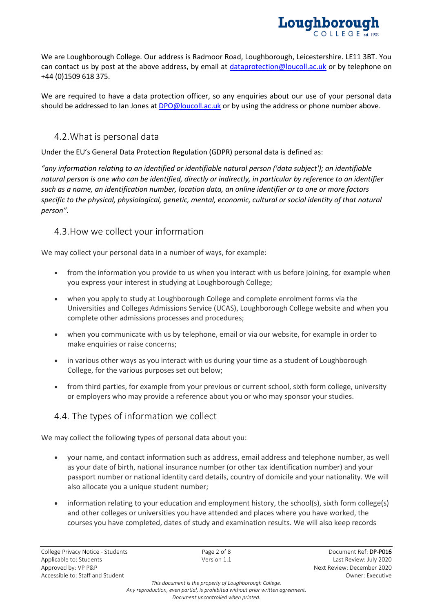

We are Loughborough College. Our address is Radmoor Road, Loughborough, Leicestershire. LE11 3BT. You can contact us by post at the above address, by email at [dataprotection@loucoll.ac.uk](mailto:dataprotection@loucoll.ac.uk) or by telephone on +44 (0)1509 618 375.

We are required to have a data protection officer, so any enquiries about our use of your personal data should be addressed to Ian Jones at **DPO@loucoll.ac.uk** or by using the address or phone number above.

## 4.2.What is personal data

Under the EU's General Data Protection Regulation (GDPR) personal data is defined as:

*"any information relating to an identified or identifiable natural person ('data subject'); an identifiable natural person is one who can be identified, directly or indirectly, in particular by reference to an identifier such as a name, an identification number, location data, an online identifier or to one or more factors specific to the physical, physiological, genetic, mental, economic, cultural or social identity of that natural person".*

### 4.3.How we collect your information

We may collect your personal data in a number of ways, for example:

- from the information you provide to us when you interact with us before joining, for example when you express your interest in studying at Loughborough College;
- when you apply to study at Loughborough College and complete enrolment forms via the Universities and Colleges Admissions Service (UCAS), Loughborough College website and when you complete other admissions processes and procedures;
- when you communicate with us by telephone, email or via our website, for example in order to make enquiries or raise concerns;
- in various other ways as you interact with us during your time as a student of Loughborough College, for the various purposes set out below;
- from third parties, for example from your previous or current school, sixth form college, university or employers who may provide a reference about you or who may sponsor your studies.

## 4.4. The types of information we collect

We may collect the following types of personal data about you:

- your name, and contact information such as address, email address and telephone number, as well as your date of birth, national insurance number (or other tax identification number) and your passport number or national identity card details, country of domicile and your nationality. We will also allocate you a unique student number;
- information relating to your education and employment history, the school(s), sixth form college(s) and other colleges or universities you have attended and places where you have worked, the courses you have completed, dates of study and examination results. We will also keep records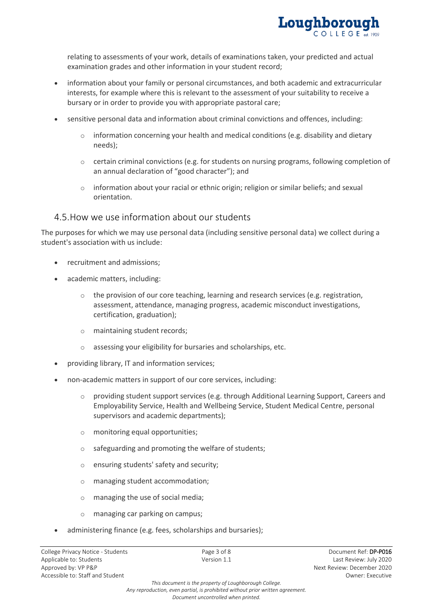

relating to assessments of your work, details of examinations taken, your predicted and actual examination grades and other information in your student record;

- information about your family or personal circumstances, and both academic and extracurricular interests, for example where this is relevant to the assessment of your suitability to receive a bursary or in order to provide you with appropriate pastoral care;
- sensitive personal data and information about criminal convictions and offences, including:
	- $\circ$  information concerning your health and medical conditions (e.g. disability and dietary needs);
	- $\circ$  certain criminal convictions (e.g. for students on nursing programs, following completion of an annual declaration of "good character"); and
	- $\circ$  information about your racial or ethnic origin; religion or similar beliefs; and sexual orientation.

#### 4.5.How we use information about our students

The purposes for which we may use personal data (including sensitive personal data) we collect during a student's association with us include:

- recruitment and admissions;
- academic matters, including:
	- o the provision of our core teaching, learning and research services (e.g. registration, assessment, attendance, managing progress, academic misconduct investigations, certification, graduation);
	- o maintaining student records;
	- o assessing your eligibility for bursaries and scholarships, etc.
- providing library, IT and information services;
- non-academic matters in support of our core services, including:
	- $\circ$  providing student support services (e.g. through Additional Learning Support, Careers and Employability Service, Health and Wellbeing Service, Student Medical Centre, personal supervisors and academic departments);
	- o monitoring equal opportunities;
	- o safeguarding and promoting the welfare of students;
	- o ensuring students' safety and security;
	- o managing student accommodation;
	- o managing the use of social media;
	- o managing car parking on campus;
- administering finance (e.g. fees, scholarships and bursaries);

*This document is the property of Loughborough College. Any reproduction, even partial, is prohibited without prior written agreement.*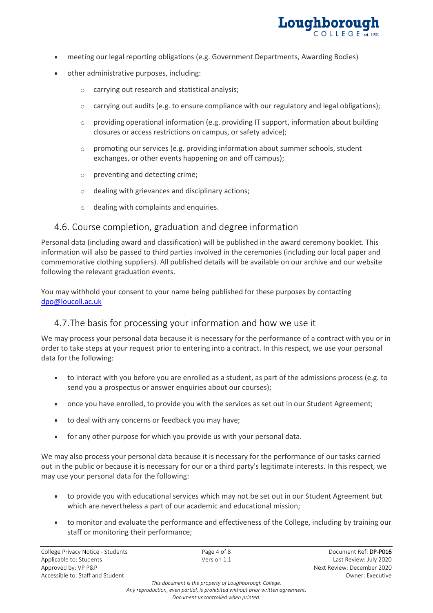

- meeting our legal reporting obligations (e.g. Government Departments, Awarding Bodies)
- other administrative purposes, including:
	- o carrying out research and statistical analysis;
	- $\circ$  carrying out audits (e.g. to ensure compliance with our regulatory and legal obligations);
	- $\circ$  providing operational information (e.g. providing IT support, information about building closures or access restrictions on campus, or safety advice);
	- $\circ$  promoting our services (e.g. providing information about summer schools, student exchanges, or other events happening on and off campus);
	- o preventing and detecting crime;
	- o dealing with grievances and disciplinary actions;
	- o dealing with complaints and enquiries.

#### 4.6. Course completion, graduation and degree information

Personal data (including award and classification) will be published in the award ceremony booklet. This information will also be passed to third parties involved in the ceremonies (including our local paper and commemorative clothing suppliers). All published details will be available on our archive and our website following the relevant graduation events.

You may withhold your consent to your name being published for these purposes by contacting [dpo@loucoll.ac.uk](mailto:dpo@loucoll.ac.uk)

#### 4.7.The basis for processing your information and how we use it

We may process your personal data because it is necessary for the performance of a contract with you or in order to take steps at your request prior to entering into a contract. In this respect, we use your personal data for the following:

- to interact with you before you are enrolled as a student, as part of the admissions process (e.g. to send you a prospectus or answer enquiries about our courses);
- once you have enrolled, to provide you with the services as set out in our Student Agreement;
- to deal with any concerns or feedback you may have;
- for any other purpose for which you provide us with your personal data.

We may also process your personal data because it is necessary for the performance of our tasks carried out in the public or because it is necessary for our or a third party's legitimate interests. In this respect, we may use your personal data for the following:

- to provide you with educational services which may not be set out in our Student Agreement but which are nevertheless a part of our academic and educational mission;
- to monitor and evaluate the performance and effectiveness of the College, including by training our staff or monitoring their performance;

*This document is the property of Loughborough College.*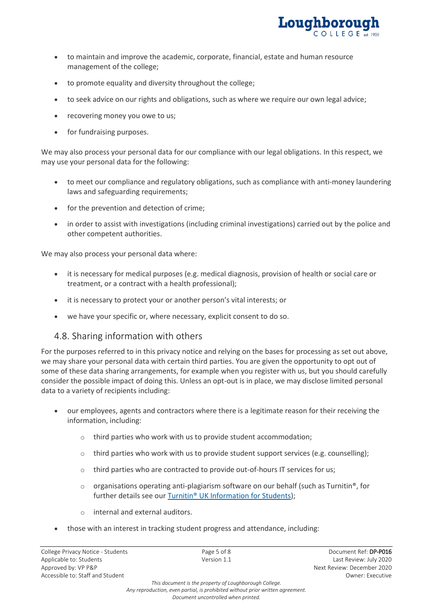

- to maintain and improve the academic, corporate, financial, estate and human resource management of the college;
- to promote equality and diversity throughout the college;
- to seek advice on our rights and obligations, such as where we require our own legal advice;
- recovering money you owe to us;
- for fundraising purposes.

We may also process your personal data for our compliance with our legal obligations. In this respect, we may use your personal data for the following:

- to meet our compliance and regulatory obligations, such as compliance with anti-money laundering laws and safeguarding requirements;
- for the prevention and detection of crime;
- in order to assist with investigations (including criminal investigations) carried out by the police and other competent authorities.

We may also process your personal data where:

- it is necessary for medical purposes (e.g. medical diagnosis, provision of health or social care or treatment, or a contract with a health professional);
- it is necessary to protect your or another person's vital interests; or
- we have your specific or, where necessary, explicit consent to do so.

### 4.8. Sharing information with others

For the purposes referred to in this privacy notice and relying on the bases for processing as set out above, we may share your personal data with certain third parties. You are given the opportunity to opt out of some of these data sharing arrangements, for example when you register with us, but you should carefully consider the possible impact of doing this. Unless an opt-out is in place, we may disclose limited personal data to a variety of recipients including:

- our employees, agents and contractors where there is a legitimate reason for their receiving the information, including:
	- o third parties who work with us to provide student accommodation;
	- $\circ$  third parties who work with us to provide student support services (e.g. counselling);
	- $\circ$  third parties who are contracted to provide out-of-hours IT services for us;
	- $\circ$  organisations operating anti-plagiarism software on our behalf (such as Turnitin®, for further details see our Turnitin<sup>®</sup> UK Information for Students);
	- o internal and external auditors.
- those with an interest in tracking student progress and attendance, including:

*This document is the property of Loughborough College. Any reproduction, even partial, is prohibited without prior written agreement.*

*Document uncontrolled when printed.*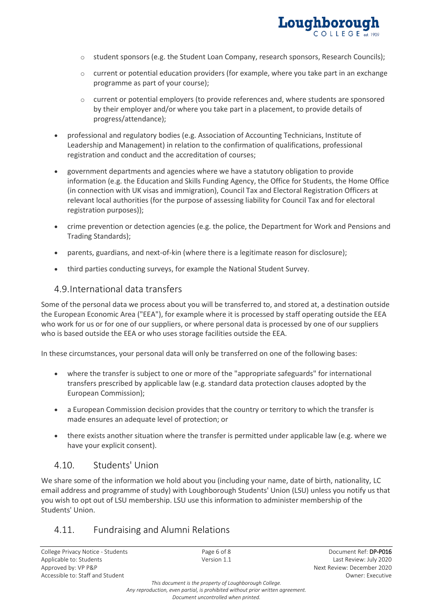

- $\circ$  student sponsors (e.g. the Student Loan Company, research sponsors, Research Councils);
- $\circ$  current or potential education providers (for example, where you take part in an exchange programme as part of your course);
- $\circ$  current or potential employers (to provide references and, where students are sponsored by their employer and/or where you take part in a placement, to provide details of progress/attendance);
- professional and regulatory bodies (e.g. Association of Accounting Technicians, Institute of Leadership and Management) in relation to the confirmation of qualifications, professional registration and conduct and the accreditation of courses;
- government departments and agencies where we have a statutory obligation to provide information (e.g. the Education and Skills Funding Agency, the Office for Students, the Home Office (in connection with UK visas and immigration), Council Tax and Electoral Registration Officers at relevant local authorities (for the purpose of assessing liability for Council Tax and for electoral registration purposes));
- crime prevention or detection agencies (e.g. the police, the Department for Work and Pensions and Trading Standards);
- parents, guardians, and next-of-kin (where there is a legitimate reason for disclosure);
- third parties conducting surveys, for example the National Student Survey.

#### 4.9.International data transfers

Some of the personal data we process about you will be transferred to, and stored at, a destination outside the European Economic Area ("EEA"), for example where it is processed by staff operating outside the EEA who work for us or for one of our suppliers, or where personal data is processed by one of our suppliers who is based outside the EEA or who uses storage facilities outside the EEA.

In these circumstances, your personal data will only be transferred on one of the following bases:

- where the transfer is subject to one or more of the "appropriate safeguards" for international transfers prescribed by applicable law (e.g. standard data protection clauses adopted by the European Commission);
- a European Commission decision provides that the country or territory to which the transfer is made ensures an adequate level of protection; or
- there exists another situation where the transfer is permitted under applicable law (e.g. where we have your explicit consent).

### 4.10. Students' Union

We share some of the information we hold about you (including your name, date of birth, nationality, LC email address and programme of study) with Loughborough Students' Union (LSU) unless you notify us that you wish to opt out of LSU membership. LSU use this information to administer membership of the Students' Union.

### 4.11. Fundraising and Alumni Relations

College Privacy Notice - Students **Page 6 of 8** Page 6 of 8 Document Ref: **DP-P016** Document Ref: **DP-P016** Applicable to: Students and the version 1.1 Company of the Version 1.1 Last Review: July 2020 Approved by: VP P&P Next Review: December 2020 Accessible to: Staff and Student **Accessible to: Staff and Student Owner: Executive** Owner: Executive

*This document is the property of Loughborough College. Any reproduction, even partial, is prohibited without prior written agreement. Document uncontrolled when printed.*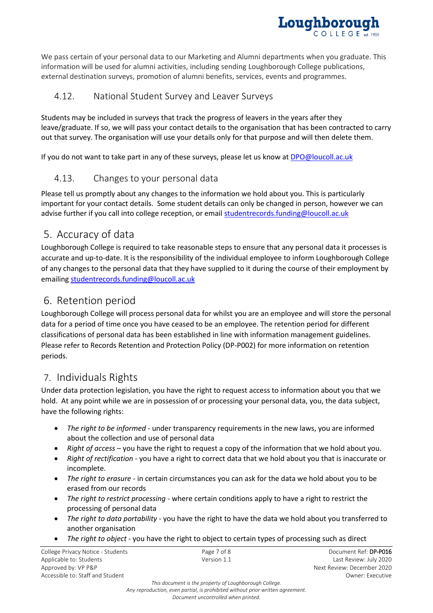

We pass certain of your personal data to our Marketing and Alumni departments when you graduate. This information will be used for alumni activities, including sending Loughborough College publications, external destination surveys, promotion of alumni benefits, services, events and programmes.

### 4.12. National Student Survey and Leaver Surveys

Students may be included in surveys that track the progress of leavers in the years after they leave/graduate. If so, we will pass your contact details to the organisation that has been contracted to carry out that survey. The organisation will use your details only for that purpose and will then delete them.

If you do not want to take part in any of these surveys, please let us know a[t DPO@loucoll.ac.uk](mailto:DPO@loucoll.ac.uk)

## 4.13. Changes to your personal data

Please tell us promptly about any changes to the information we hold about you. This is particularly important for your contact details. Some student details can only be changed in person, however we can advise further if you call into college reception, or email [studentrecords.funding@loucoll.ac.uk](mailto:studentrecords.funding@loucoll.ac.uk)

# 5. Accuracy of data

Loughborough College is required to take reasonable steps to ensure that any personal data it processes is accurate and up-to-date. It is the responsibility of the individual employee to inform Loughborough College of any changes to the personal data that they have supplied to it during the course of their employment by emailing [studentrecords.funding@loucoll.ac.uk](mailto:studentrecords.funding@loucoll.ac.uk)

# 6. Retention period

Loughborough College will process personal data for whilst you are an employee and will store the personal data for a period of time once you have ceased to be an employee. The retention period for different classifications of personal data has been established in line with information management guidelines. Please refer to Records Retention and Protection Policy (DP-P002) for more information on retention periods.

# 7. Individuals Rights

Under data protection legislation, you have the right to request access to information about you that we hold. At any point while we are in possession of or processing your personal data, you, the data subject, have the following rights:

- *The right to be informed* under transparency requirements in the new laws, you are informed about the collection and use of personal data
- *Right of access* you have the right to request a copy of the information that we hold about you.
- *Right of rectification* you have a right to correct data that we hold about you that is inaccurate or incomplete.
- *The right to erasure* in certain circumstances you can ask for the data we hold about you to be erased from our records
- *The right to restrict processing* where certain conditions apply to have a right to restrict the processing of personal data
- *The right to data portability* you have the right to have the data we hold about you transferred to another organisation
- *The right to object* you have the right to object to certain types of processing such as direct

| College Privacy Notice - Students | Page 7 of 8 | Document Ref: <b>DP-P016</b> |
|-----------------------------------|-------------|------------------------------|
| Applicable to: Students           | Version 1.1 | Last Review: July 2020       |
| Approved by: VP P&P               |             | Next Review: December 2020   |
| Accessible to: Staff and Student  |             | Owner: Executive             |

*This document is the property of Loughborough College.*